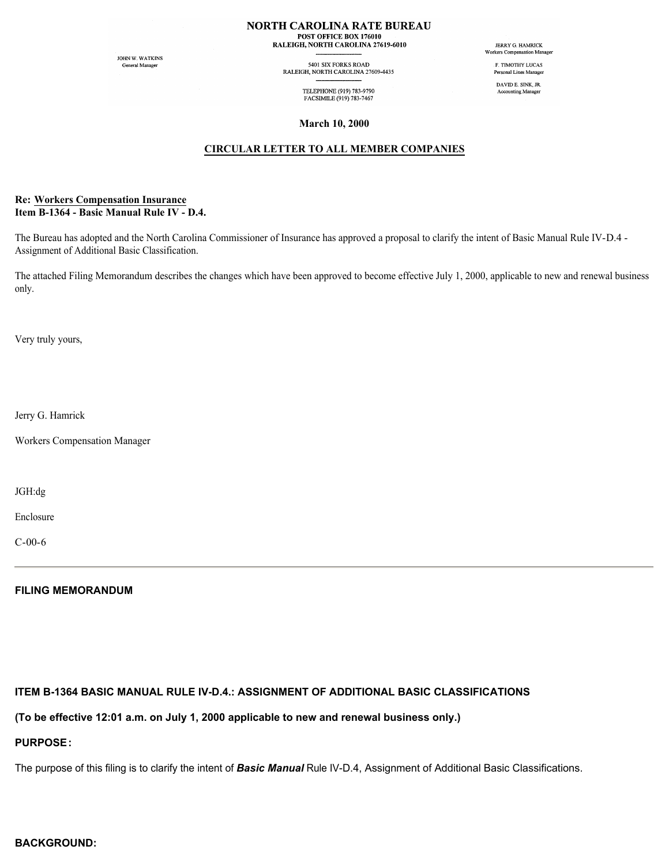#### **NORTH CAROLINA RATE BUREAU** POST OFFICE BOX 176010 RALEIGH, NORTH CAROLINA 27619-6010

JOHN W. WATKINS General Manager

5401 SIX FORKS ROAD RALEIGH, NORTH CAROLINA 27609-4435

> TELEPHONE (919) 783-9790 FACSIMILE (919) 783-7467

JERRY G. HAMRICK Workers Compensation Manager

F. TIMOTHY LUCAS Personal Lines Manager DAVID E. SINK, JR.

Accounting Manager

**March 10, 2000**

### **CIRCULAR LETTER TO ALL MEMBER COMPANIES**

#### **Re: Workers Compensation Insurance Item B-1364 - Basic Manual Rule IV - D.4.**

The Bureau has adopted and the North Carolina Commissioner of Insurance has approved a proposal to clarify the intent of Basic Manual Rule IV-D.4 - Assignment of Additional Basic Classification.

The attached Filing Memorandum describes the changes which have been approved to become effective July 1, 2000, applicable to new and renewal business only.

Very truly yours,

Jerry G. Hamrick

Workers Compensation Manager

JGH:dg

Enclosure

C-00-6

### **FILING MEMORANDUM**

### **ITEM B-1364 BASIC MANUAL RULE IV-D.4.: ASSIGNMENT OF ADDITIONAL BASIC CLASSIFICATIONS**

**(To be effective 12:01 a.m. on July 1, 2000 applicable to new and renewal business only.)**

# **PURPOSE:**

The purpose of this filing is to clarify the intent of *Basic Manual* Rule IV-D.4, Assignment of Additional Basic Classifications.

# **BACKGROUND:**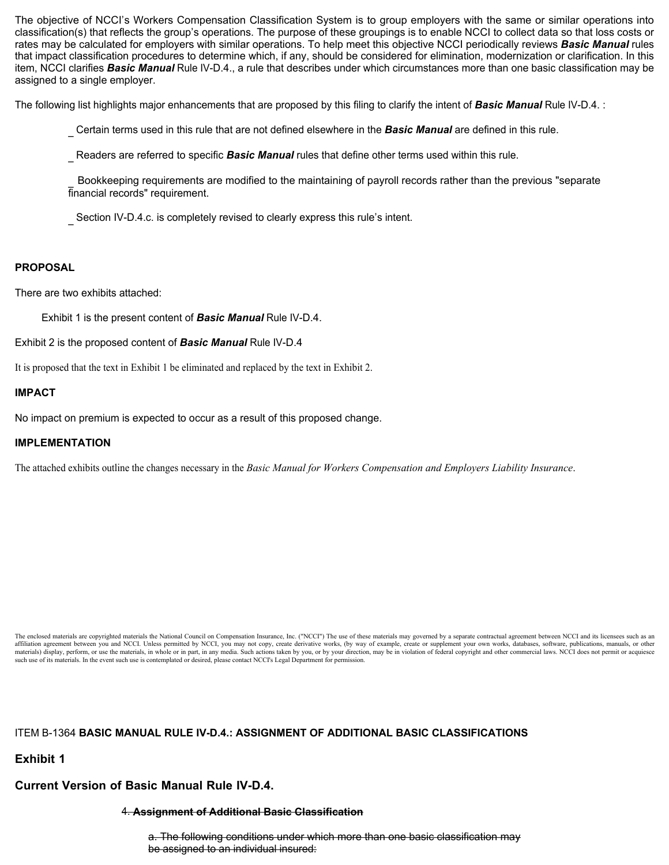The objective of NCCI's Workers Compensation Classification System is to group employers with the same or similar operations into classification(s) that reflects the group's operations. The purpose of these groupings is to enable NCCI to collect data so that loss costs or rates may be calculated for employers with similar operations. To help meet this objective NCCI periodically reviews *Basic Manual* rules that impact classification procedures to determine which, if any, should be considered for elimination, modernization or clarification. In this item, NCCI clarifies *Basic Manual* Rule IV-D.4., a rule that describes under which circumstances more than one basic classification may be assigned to a single employer.

The following list highlights major enhancements that are proposed by this filing to clarify the intent of *Basic Manual* Rule IV-D.4. :

\_ Certain terms used in this rule that are not defined elsewhere in the *Basic Manual* are defined in this rule.

\_ Readers are referred to specific *Basic Manual* rules that define other terms used within this rule.

\_ Bookkeeping requirements are modified to the maintaining of payroll records rather than the previous "separate financial records" requirement.

Section IV-D.4.c. is completely revised to clearly express this rule's intent.

### **PROPOSAL**

There are two exhibits attached:

Exhibit 1 is the present content of *Basic Manual* Rule IV-D.4.

Exhibit 2 is the proposed content of *Basic Manual* Rule IV-D.4

It is proposed that the text in Exhibit 1 be eliminated and replaced by the text in Exhibit 2.

### **IMPACT**

No impact on premium is expected to occur as a result of this proposed change.

### **IMPLEMENTATION**

The attached exhibits outline the changes necessary in the *Basic Manual for Workers Compensation and Employers Liability Insurance*.

The enclosed materials are copyrighted materials the National Council on Compensation Insurance, Inc. ("NCCI") The use of these materials may governed by a separate contractual agreement between NCCI and its licensees such affiliation agreement between you and NCCI. Unless permitted by NCCI, you may not copy, create derivative works, (by way of example, create or supplement your own works, databases, software, publications, manuals, or other such use of its materials. In the event such use is contemplated or desired, please contact NCCI's Legal Department for permission.

# ITEM B-1364 **BASIC MANUAL RULE IV-D.4.: ASSIGNMENT OF ADDITIONAL BASIC CLASSIFICATIONS**

**Exhibit 1**

# **Current Version of Basic Manual Rule IV-D.4.**

#### 4. **Assignment of Additional Basic Classification**

a. The following conditions under which more than one basic classification may be assigned to an individual insured: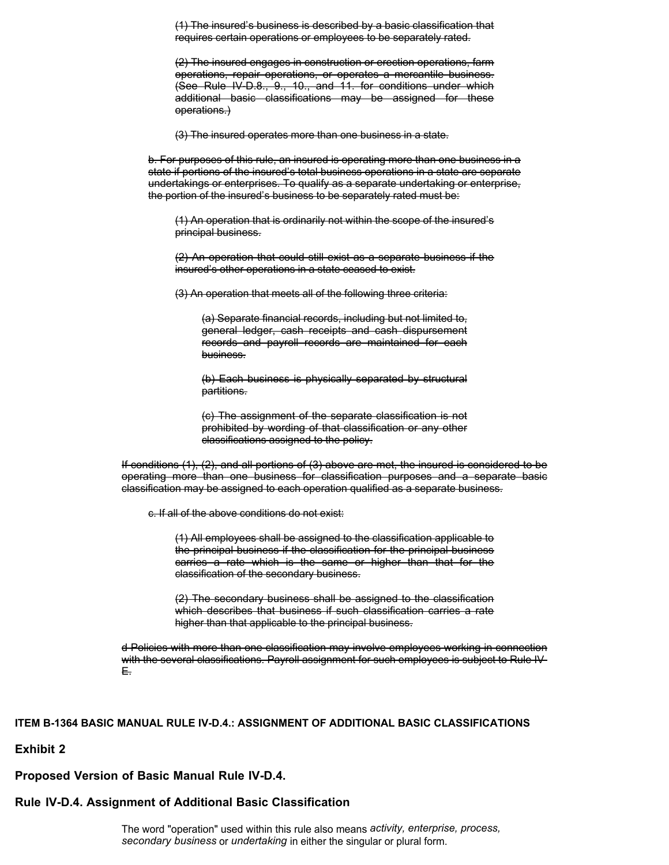(1) The insured's business is described by a basic classification that requires certain operations or employees to be separately rated.

(2) The insured engages in construction or erection operations, farm operations, repair operations, or operates a mercantile business. (See Rule IV-D.8., 9., 10., and 11. for conditions under which additional basic classifications may be assigned for these operations.)

(3) The insured operates more than one business in a state.

b. For purposes of this rule, an insured is operating more than one business in a state if portions of the insured's total business operations in a state are separate undertakings or enterprises. To qualify as a separate undertaking or enterprise, the portion of the insured's business to be separately rated must be:

(1) An operation that is ordinarily not within the scope of the insured's principal business.

(2) An operation that could still exist as a separate business if the insured's other operations in a state ceased to exist.

(3) An operation that meets all of the following three criteria:

(a) Separate financial records, including but not limited to, general ledger, cash receipts and cash dispursement records and payroll records are maintained for each business.

(b) Each business is physically separated by structural partitions.

(c) The assignment of the separate classification is not prohibited by wording of that classification or any other classifications assigned to the policy.

If conditions (1), (2), and all portions of (3) above are met, the insured is considered to be operating more than one business for classification purposes and a separate basic classification may be assigned to each operation qualified as a separate business.

c. If all of the above conditions do not exist:

(1) All employees shall be assigned to the classification applicable to the principal business if the classification for the principal business carries a rate which is the same or higher than that for the classification of the secondary business.

(2) The secondary business shall be assigned to the classification which describes that business if such classification carries a rate higher than that applicable to the principal business.

d Policies with more than one classification may involve employees working in connection with the several classifications. Payroll assignment for such employees is subject to Rule IV-E.

#### **ITEM B-1364 BASIC MANUAL RULE IV-D.4.: ASSIGNMENT OF ADDITIONAL BASIC CLASSIFICATIONS**

### **Exhibit 2**

#### **Proposed Version of Basic Manual Rule IV-D.4.**

# **Rule IV-D.4. Assignment of Additional Basic Classification**

The word "operation" used within this rule also means *activity, enterprise, process, secondary business* or *undertaking* in either the singular or plural form.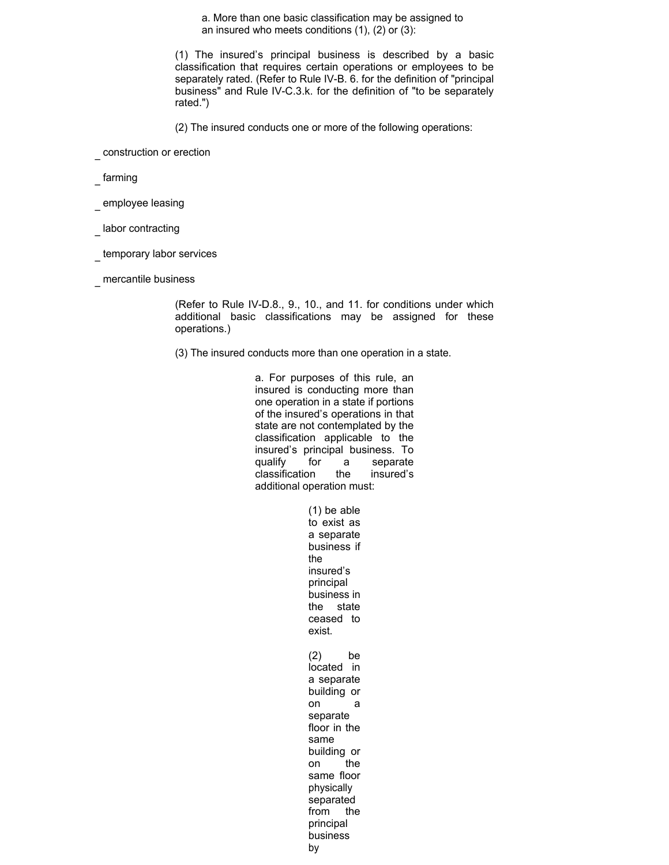a. More than one basic classification may be assigned to an insured who meets conditions (1), (2) or (3):

(1) The insured's principal business is described by a basic classification that requires certain operations or employees to be separately rated. (Refer to Rule IV-B. 6. for the definition of "principal business" and Rule IV-C.3.k. for the definition of "to be separately rated.")

(2) The insured conducts one or more of the following operations:

\_ construction or erection

farming

employee leasing

labor contracting

- temporary labor services
- \_ mercantile business

(Refer to Rule IV-D.8., 9., 10., and 11. for conditions under which additional basic classifications may be assigned for these operations.)

(3) The insured conducts more than one operation in a state.

a. For purposes of this rule, an insured is conducting more than one operation in a state if portions of the insured's operations in that state are not contemplated by the classification applicable to the insured's principal business. To qualify for a separate classification the insured's additional operation must:

(1) be able

to exist as a separate business if the insured's principal business in the state ceased to exist. (2) be located in a separate building or on a separate floor in the same building or on the same floor physically separated from the principal business by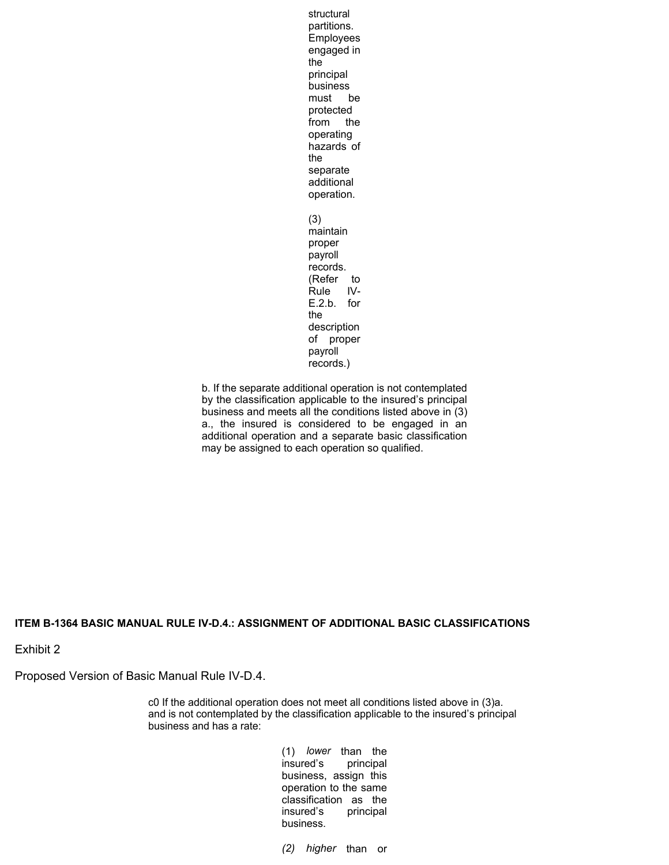structural partitions. Employees engaged in the principal business must be protected from the operating hazards of the separate additional operation. (3) maintain proper payroll records. (Refer to Rule IV-E.2.b. for the description of proper payroll records.)

b. If the separate additional operation is not contemplated by the classification applicable to the insured's principal business and meets all the conditions listed above in (3) a., the insured is considered to be engaged in an additional operation and a separate basic classification may be assigned to each operation so qualified.

### **ITEM B-1364 BASIC MANUAL RULE IV-D.4.: ASSIGNMENT OF ADDITIONAL BASIC CLASSIFICATIONS**

Exhibit 2

Proposed Version of Basic Manual Rule IV-D.4.

c0 If the additional operation does not meet all conditions listed above in (3)a. and is not contemplated by the classification applicable to the insured's principal business and has a rate:

> (1) *lower* than the insured's principal business, assign this operation to the same classification as the insured's principal business.

*(2) higher* than or